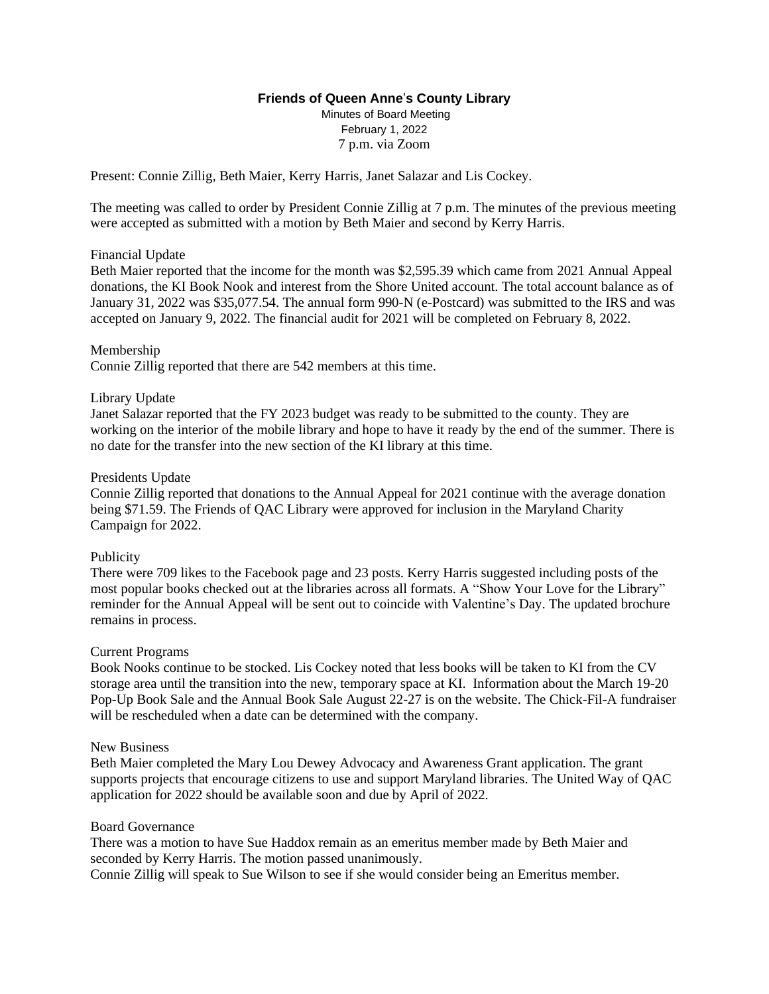# **Friends of Queen Anne**'**s County Library**

Minutes of Board Meeting February 1, 2022 7 p.m. via Zoom

Present: Connie Zillig, Beth Maier, Kerry Harris, Janet Salazar and Lis Cockey.

The meeting was called to order by President Connie Zillig at 7 p.m. The minutes of the previous meeting were accepted as submitted with a motion by Beth Maier and second by Kerry Harris.

### Financial Update

Beth Maier reported that the income for the month was \$2,595.39 which came from 2021 Annual Appeal donations, the KI Book Nook and interest from the Shore United account. The total account balance as of January 31, 2022 was \$35,077.54. The annual form 990-N (e-Postcard) was submitted to the IRS and was accepted on January 9, 2022. The financial audit for 2021 will be completed on February 8, 2022.

### Membership

Connie Zillig reported that there are 542 members at this time.

# Library Update

Janet Salazar reported that the FY 2023 budget was ready to be submitted to the county. They are working on the interior of the mobile library and hope to have it ready by the end of the summer. There is no date for the transfer into the new section of the KI library at this time.

### Presidents Update

Connie Zillig reported that donations to the Annual Appeal for 2021 continue with the average donation being \$71.59. The Friends of QAC Library were approved for inclusion in the Maryland Charity Campaign for 2022.

### Publicity

There were 709 likes to the Facebook page and 23 posts. Kerry Harris suggested including posts of the most popular books checked out at the libraries across all formats. A "Show Your Love for the Library" reminder for the Annual Appeal will be sent out to coincide with Valentine's Day. The updated brochure remains in process.

### Current Programs

Book Nooks continue to be stocked. Lis Cockey noted that less books will be taken to KI from the CV storage area until the transition into the new, temporary space at KI. Information about the March 19-20 Pop-Up Book Sale and the Annual Book Sale August 22-27 is on the website. The Chick-Fil-A fundraiser will be rescheduled when a date can be determined with the company.

### New Business

Beth Maier completed the Mary Lou Dewey Advocacy and Awareness Grant application. The grant supports projects that encourage citizens to use and support Maryland libraries. The United Way of QAC application for 2022 should be available soon and due by April of 2022.

### Board Governance

There was a motion to have Sue Haddox remain as an emeritus member made by Beth Maier and seconded by Kerry Harris. The motion passed unanimously.

Connie Zillig will speak to Sue Wilson to see if she would consider being an Emeritus member.